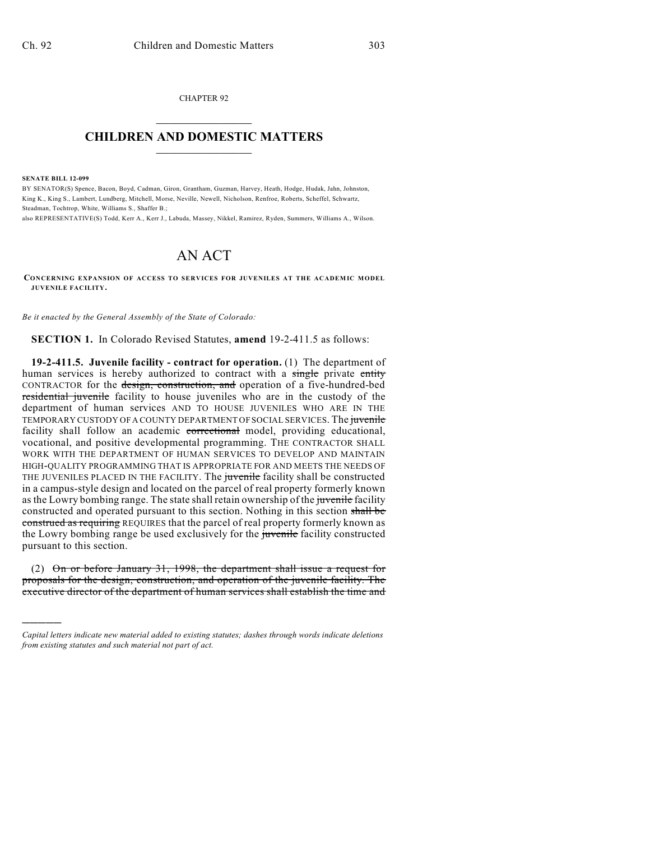CHAPTER 92  $\overline{\phantom{a}}$  . The set of the set of the set of the set of the set of the set of the set of the set of the set of the set of the set of the set of the set of the set of the set of the set of the set of the set of the set o

## **CHILDREN AND DOMESTIC MATTERS**  $\_$

**SENATE BILL 12-099**

)))))

BY SENATOR(S) Spence, Bacon, Boyd, Cadman, Giron, Grantham, Guzman, Harvey, Heath, Hodge, Hudak, Jahn, Johnston, King K., King S., Lambert, Lundberg, Mitchell, Morse, Neville, Newell, Nicholson, Renfroe, Roberts, Scheffel, Schwartz, Steadman, Tochtrop, White, Williams S., Shaffer B.;

also REPRESENTATIVE(S) Todd, Kerr A., Kerr J., Labuda, Massey, Nikkel, Ramirez, Ryden, Summers, Williams A., Wilson.

## AN ACT

**CONCERNING EXPANSION OF ACCESS TO SERVICES FOR JUVENILES AT THE ACADEMIC MODEL JUVENILE FACILITY.**

*Be it enacted by the General Assembly of the State of Colorado:*

**SECTION 1.** In Colorado Revised Statutes, **amend** 19-2-411.5 as follows:

**19-2-411.5. Juvenile facility - contract for operation.** (1) The department of human services is hereby authorized to contract with a single private entity CONTRACTOR for the design, construction, and operation of a five-hundred-bed residential juvenile facility to house juveniles who are in the custody of the department of human services AND TO HOUSE JUVENILES WHO ARE IN THE TEMPORARY CUSTODY OF A COUNTY DEPARTMENT OF SOCIAL SERVICES. The juvenile facility shall follow an academic correctional model, providing educational, vocational, and positive developmental programming. THE CONTRACTOR SHALL WORK WITH THE DEPARTMENT OF HUMAN SERVICES TO DEVELOP AND MAINTAIN HIGH-QUALITY PROGRAMMING THAT IS APPROPRIATE FOR AND MEETS THE NEEDS OF THE JUVENILES PLACED IN THE FACILITY. The juvenile facility shall be constructed in a campus-style design and located on the parcel of real property formerly known as the Lowry bombing range. The state shall retain ownership of the juvenile facility constructed and operated pursuant to this section. Nothing in this section shall be construed as requiring REQUIRES that the parcel of real property formerly known as the Lowry bombing range be used exclusively for the juvenile facility constructed pursuant to this section.

(2)  $\Theta$  or before January 31, 1998, the department shall issue a request for proposals for the design, construction, and operation of the juvenile facility. The executive director of the department of human services shall establish the time and

*Capital letters indicate new material added to existing statutes; dashes through words indicate deletions from existing statutes and such material not part of act.*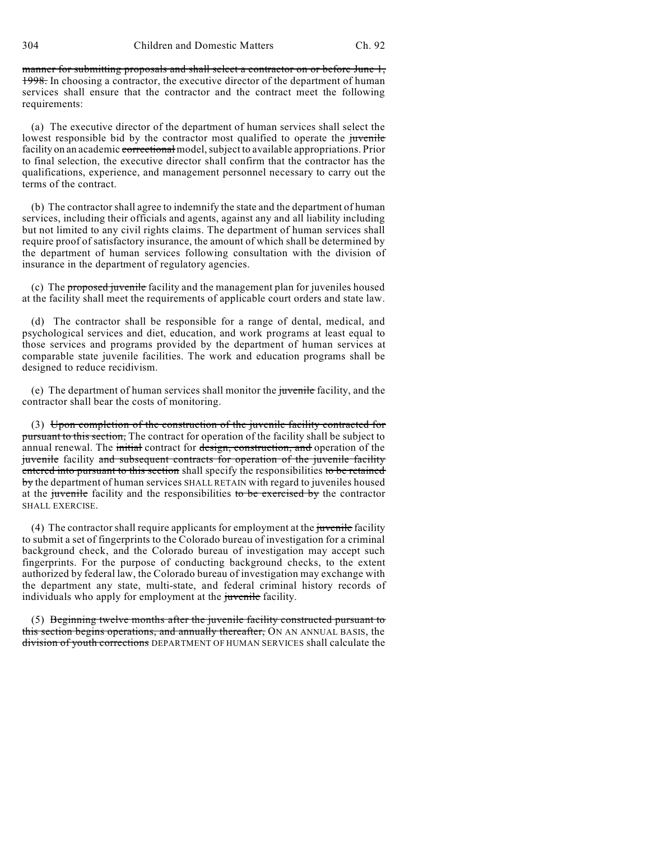manner for submitting proposals and shall select a contractor on or before June 1, 1998. In choosing a contractor, the executive director of the department of human services shall ensure that the contractor and the contract meet the following requirements:

(a) The executive director of the department of human services shall select the lowest responsible bid by the contractor most qualified to operate the juvenile facility on an academic correctional model, subject to available appropriations. Prior to final selection, the executive director shall confirm that the contractor has the qualifications, experience, and management personnel necessary to carry out the terms of the contract.

(b) The contractor shall agree to indemnify the state and the department of human services, including their officials and agents, against any and all liability including but not limited to any civil rights claims. The department of human services shall require proof of satisfactory insurance, the amount of which shall be determined by the department of human services following consultation with the division of insurance in the department of regulatory agencies.

(c) The proposed juvenile facility and the management plan for juveniles housed at the facility shall meet the requirements of applicable court orders and state law.

(d) The contractor shall be responsible for a range of dental, medical, and psychological services and diet, education, and work programs at least equal to those services and programs provided by the department of human services at comparable state juvenile facilities. The work and education programs shall be designed to reduce recidivism.

(e) The department of human services shall monitor the juvenile facility, and the contractor shall bear the costs of monitoring.

(3) Upon completion of the construction of the juvenile facility contracted for pursuant to this section, The contract for operation of the facility shall be subject to annual renewal. The initial contract for design, construction, and operation of the juvenile facility and subsequent contracts for operation of the juvenile facility entered into pursuant to this section shall specify the responsibilities to be retained by the department of human services SHALL RETAIN with regard to juveniles housed at the juvenile facility and the responsibilities to be exercised by the contractor SHALL EXERCISE.

(4) The contractor shall require applicants for employment at the juvenile facility to submit a set of fingerprints to the Colorado bureau of investigation for a criminal background check, and the Colorado bureau of investigation may accept such fingerprints. For the purpose of conducting background checks, to the extent authorized by federal law, the Colorado bureau of investigation may exchange with the department any state, multi-state, and federal criminal history records of individuals who apply for employment at the *juvenile* facility.

(5) Beginning twelve months after the juvenile facility constructed pursuant to this section begins operations, and annually thereafter, ON AN ANNUAL BASIS, the division of youth corrections DEPARTMENT OF HUMAN SERVICES shall calculate the